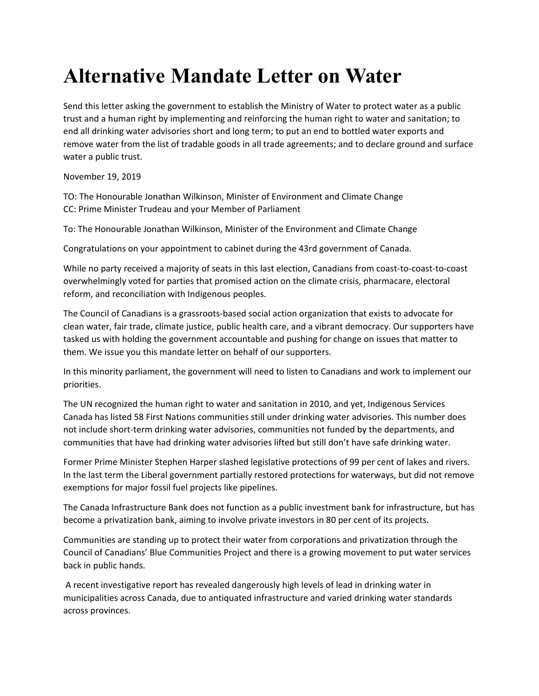## **Alternative Mandate Letter on Water**

Send this letter asking the government to establish the Ministry of Water to protect water as a public trust and a human right by implementing and reinforcing the human right to water and sanitation; to end all drinking water advisories short and long term; to put an end to bottled water exports and remove water from the list of tradable goods in all trade agreements; and to declare ground and surface water a public trust.

November 19, 2019

TO: The Honourable Jonathan Wilkinson, Minister of Environment and Climate Change CC: Prime Minister Trudeau and your Member of Parliament

To: The Honourable Jonathan Wilkinson, Minister of the Environment and Climate Change

Congratulations on your appointment to cabinet during the 43rd government of Canada.

While no party received a majority of seats in this last election, Canadians from coast-to-coast-to-coast overwhelmingly voted for parties that promised action on the climate crisis, pharmacare, electoral reform, and reconciliation with Indigenous peoples.

The Council of Canadians is a grassroots-based social action organization that exists to advocate for clean water, fair trade, climate justice, public health care, and a vibrant democracy. Our supporters have tasked us with holding the government accountable and pushing for change on issues that matter to them. We issue you this mandate letter on behalf of our supporters.

In this minority parliament, the government will need to listen to Canadians and work to implement our priorities.

The UN recognized the human right to water and sanitation in 2010, and yet, Indigenous Services Canada has listed 58 First Nations communities still under drinking water advisories. This number does not include short-term drinking water advisories, communities not funded by the departments, and communities that have had drinking water advisories lifted but still don't have safe drinking water.

Former Prime Minister Stephen Harper slashed legislative protections of 99 per cent of lakes and rivers. In the last term the Liberal government partially restored protections for waterways, but did not remove exemptions for major fossil fuel projects like pipelines.

The Canada Infrastructure Bank does not function as a public investment bank for infrastructure, but has become a privatization bank, aiming to involve private investors in 80 per cent of its projects.

Communities are standing up to protect their water from corporations and privatization through the Council of Canadians' Blue Communities Project and there is a growing movement to put water services back in public hands.

A recent investigative report has revealed dangerously high levels of lead in drinking water in municipalities across Canada, due to antiquated infrastructure and varied drinking water standards across provinces.